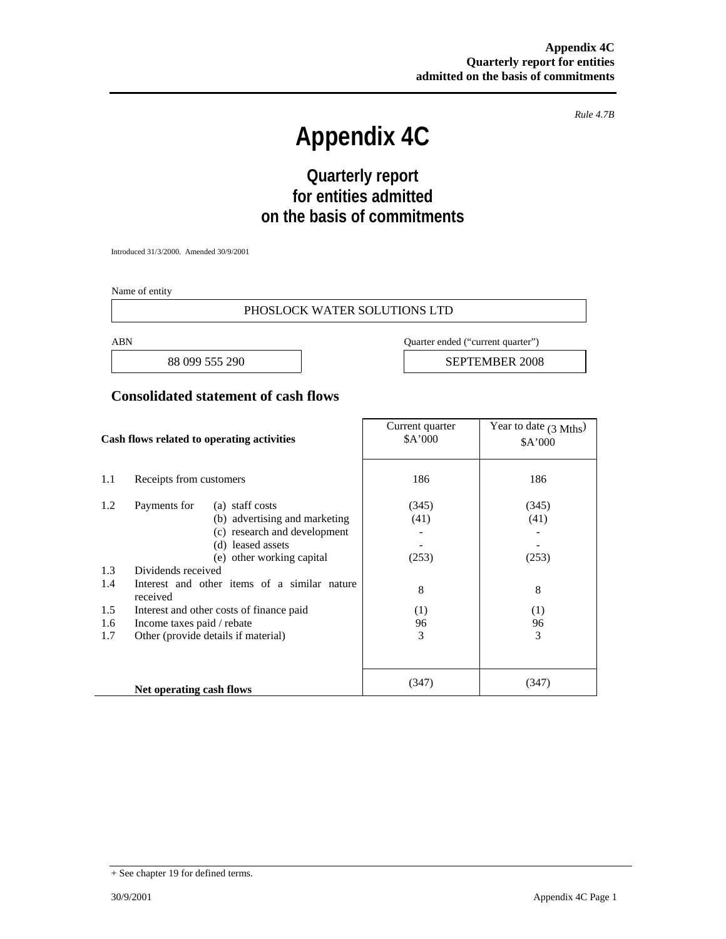*Rule 4.7B* 

# **Appendix 4C**

# **Quarterly report for entities admitted on the basis of commitments**

Introduced 31/3/2000. Amended 30/9/2001

Name of entity

#### PHOSLOCK WATER SOLUTIONS LTD

ABN Quarter ended ("current quarter")

88 099 555 290 **SEPTEMBER 2008** 

#### **Consolidated statement of cash flows**

| Cash flows related to operating activities |                                                                                                             | Current quarter<br>\$A'000                                                                            | Year to date $(3 \text{ Mths})$<br>\$A'000 |                |
|--------------------------------------------|-------------------------------------------------------------------------------------------------------------|-------------------------------------------------------------------------------------------------------|--------------------------------------------|----------------|
| 1.1                                        | Receipts from customers                                                                                     |                                                                                                       | 186                                        | 186            |
| 1.2                                        | Payments for                                                                                                | (a) staff costs<br>(b) advertising and marketing<br>(c) research and development<br>(d) leased assets | (345)<br>(41)                              | (345)<br>(41)  |
| 1.3<br>1.4                                 | (e) other working capital<br>Dividends received<br>Interest and other items of a similar nature<br>received |                                                                                                       | (253)<br>8                                 | (253)<br>8     |
| 1.5<br>1.6<br>1.7                          | Income taxes paid / rebate<br>Other (provide details if material)                                           | Interest and other costs of finance paid                                                              | (1)<br>96<br>3                             | (1)<br>96<br>3 |
|                                            | Net operating cash flows                                                                                    |                                                                                                       | (347)                                      | (347)          |

<sup>+</sup> See chapter 19 for defined terms.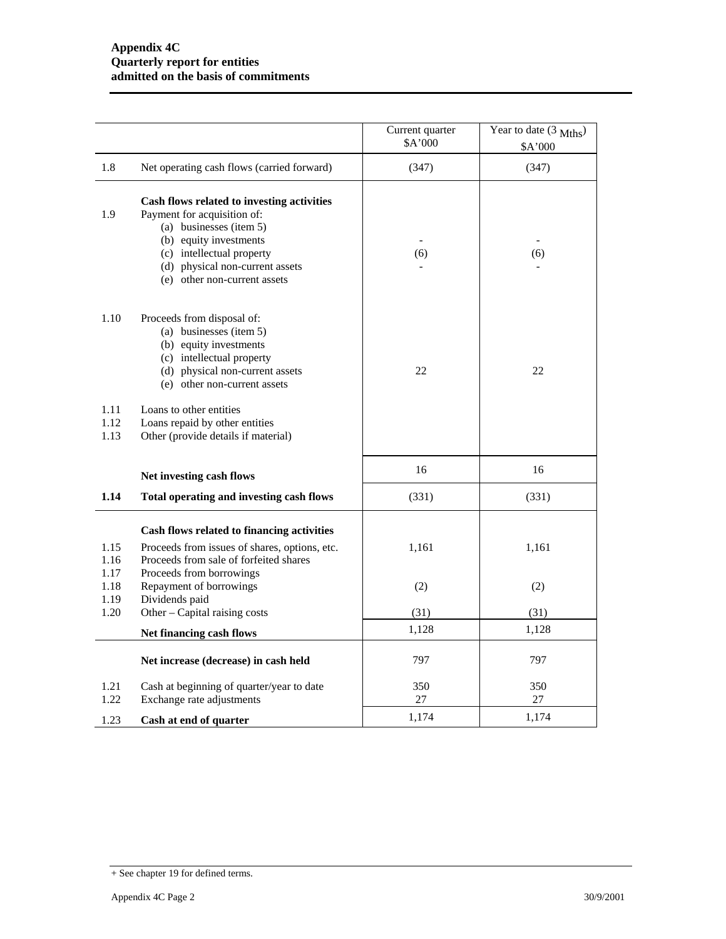|                      |                                                                                                                                                                                                                                | Current quarter<br>\$A'000 | Year to date $(3 \text{ Mths})$<br>\$A'000 |
|----------------------|--------------------------------------------------------------------------------------------------------------------------------------------------------------------------------------------------------------------------------|----------------------------|--------------------------------------------|
| 1.8                  | Net operating cash flows (carried forward)                                                                                                                                                                                     | (347)                      | (347)                                      |
| 1.9                  | Cash flows related to investing activities<br>Payment for acquisition of:<br>(a) businesses (item 5)<br>(b) equity investments<br>(c) intellectual property<br>(d) physical non-current assets<br>(e) other non-current assets | (6)                        | (6)                                        |
| 1.10                 | Proceeds from disposal of:<br>(a) businesses (item 5)<br>(b) equity investments<br>(c) intellectual property<br>(d) physical non-current assets<br>(e) other non-current assets                                                | 22                         | 22                                         |
| 1.11<br>1.12<br>1.13 | Loans to other entities<br>Loans repaid by other entities<br>Other (provide details if material)                                                                                                                               |                            |                                            |
|                      | Net investing cash flows                                                                                                                                                                                                       | 16                         | 16                                         |
| 1.14                 | Total operating and investing cash flows                                                                                                                                                                                       | (331)                      | (331)                                      |
| 1.15<br>1.16<br>1.17 | Cash flows related to financing activities<br>Proceeds from issues of shares, options, etc.<br>Proceeds from sale of forfeited shares<br>Proceeds from borrowings                                                              | 1,161                      | 1,161                                      |
| 1.18                 | Repayment of borrowings                                                                                                                                                                                                        | (2)                        | (2)                                        |
| 1.19<br>1.20         | Dividends paid<br>Other - Capital raising costs                                                                                                                                                                                | (31)                       | (31)                                       |
|                      | Net financing cash flows                                                                                                                                                                                                       | 1,128                      | 1,128                                      |
|                      | Net increase (decrease) in cash held                                                                                                                                                                                           | 797                        | 797                                        |
| 1.21<br>1.22         | Cash at beginning of quarter/year to date<br>Exchange rate adjustments                                                                                                                                                         | 350<br>27                  | 350<br>27                                  |
| 1.23                 | Cash at end of quarter                                                                                                                                                                                                         | 1,174                      | 1,174                                      |

<sup>+</sup> See chapter 19 for defined terms.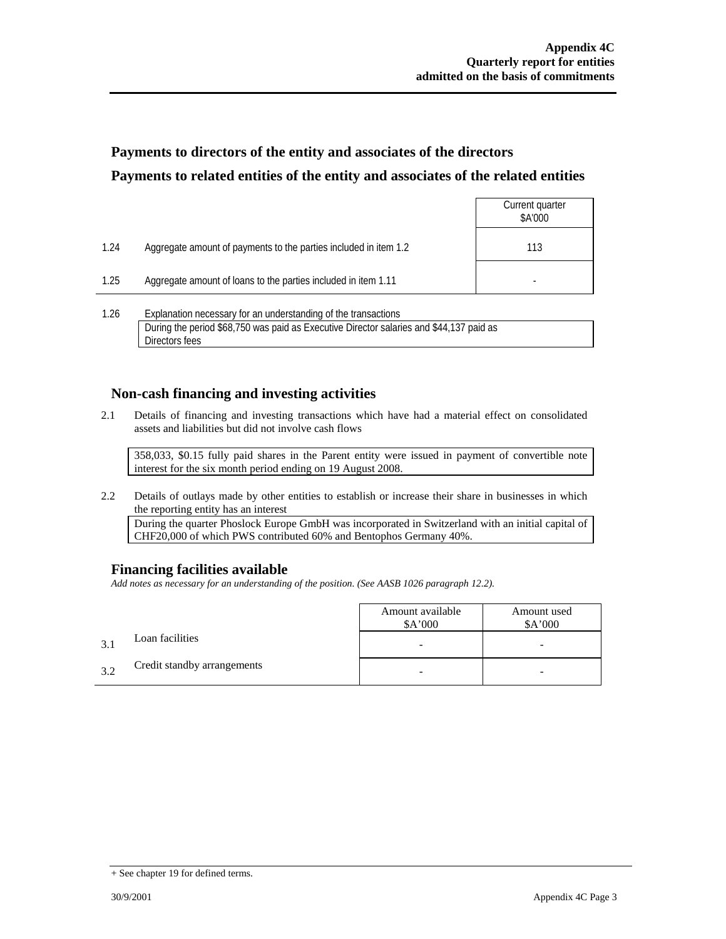# **Payments to directors of the entity and associates of the directors Payments to related entities of the entity and associates of the related entities**

|      |                                                                  | Current quarter<br>\$A'000 |
|------|------------------------------------------------------------------|----------------------------|
| 1.24 | Aggregate amount of payments to the parties included in item 1.2 | 113                        |
| 1.25 | Aggregate amount of loans to the parties included in item 1.11   |                            |
|      |                                                                  |                            |

1.26 Explanation necessary for an understanding of the transactions During the period \$68,750 was paid as Executive Director salaries and \$44,137 paid as Directors fees

### **Non-cash financing and investing activities**

2.1 Details of financing and investing transactions which have had a material effect on consolidated assets and liabilities but did not involve cash flows

 358,033, \$0.15 fully paid shares in the Parent entity were issued in payment of convertible note interest for the six month period ending on 19 August 2008.

2.2 Details of outlays made by other entities to establish or increase their share in businesses in which the reporting entity has an interest

 During the quarter Phoslock Europe GmbH was incorporated in Switzerland with an initial capital of CHF20,000 of which PWS contributed 60% and Bentophos Germany 40%.

### **Financing facilities available**

*Add notes as necessary for an understanding of the position. (See AASB 1026 paragraph 12.2).* 

|      |                             | Amount available<br>A'000 | Amount used<br>\$A'000 |
|------|-----------------------------|---------------------------|------------------------|
|      | Loan facilities             |                           |                        |
| -3.1 | Credit standby arrangements |                           |                        |

<sup>+</sup> See chapter 19 for defined terms.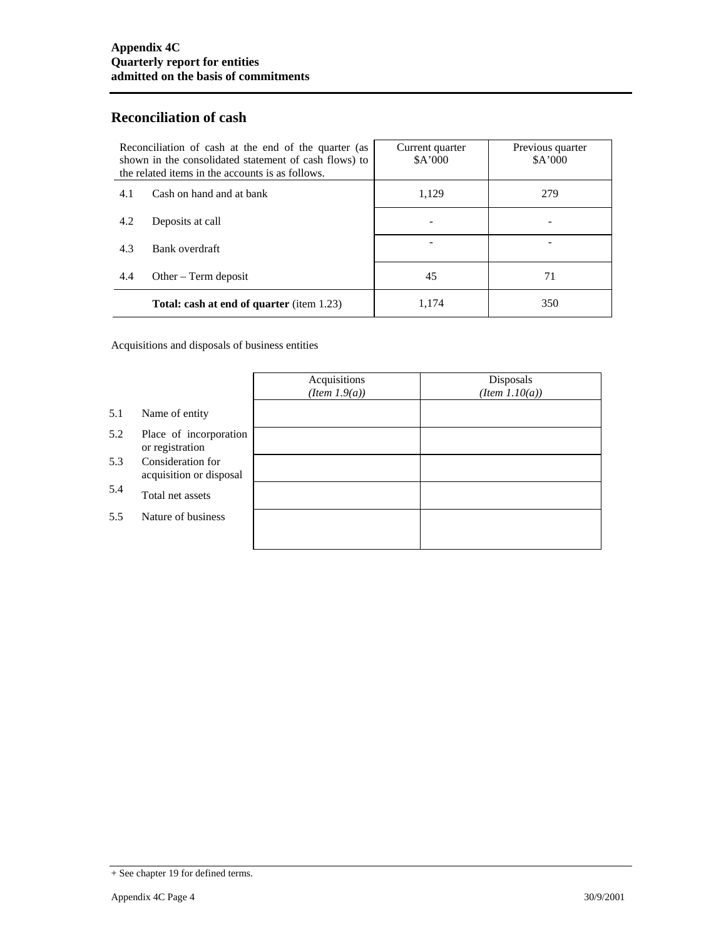## **Reconciliation of cash**

| Reconciliation of cash at the end of the quarter (as<br>shown in the consolidated statement of cash flows) to<br>the related items in the accounts is as follows. |                                           | Current quarter<br>A'000 | Previous quarter<br>A'000 |
|-------------------------------------------------------------------------------------------------------------------------------------------------------------------|-------------------------------------------|--------------------------|---------------------------|
| 4.1                                                                                                                                                               | Cash on hand and at bank                  | 1,129                    | 279                       |
| 4.2                                                                                                                                                               | Deposits at call                          |                          |                           |
| 4.3                                                                                                                                                               | Bank overdraft                            |                          |                           |
| 4.4                                                                                                                                                               | Other $-$ Term deposit                    | 45                       | 71                        |
|                                                                                                                                                                   | Total: cash at end of quarter (item 1.23) | 1.174                    | 350                       |

Acquisitions and disposals of business entities

|     |                                              | Acquisitions<br>$(Item\ 1.9(a))$ | Disposals<br>$(Item\ 1.10(a))$ |
|-----|----------------------------------------------|----------------------------------|--------------------------------|
| 5.1 | Name of entity                               |                                  |                                |
| 5.2 | Place of incorporation<br>or registration    |                                  |                                |
| 5.3 | Consideration for<br>acquisition or disposal |                                  |                                |
| 5.4 | Total net assets                             |                                  |                                |
| 5.5 | Nature of business                           |                                  |                                |
|     |                                              |                                  |                                |

<sup>+</sup> See chapter 19 for defined terms.